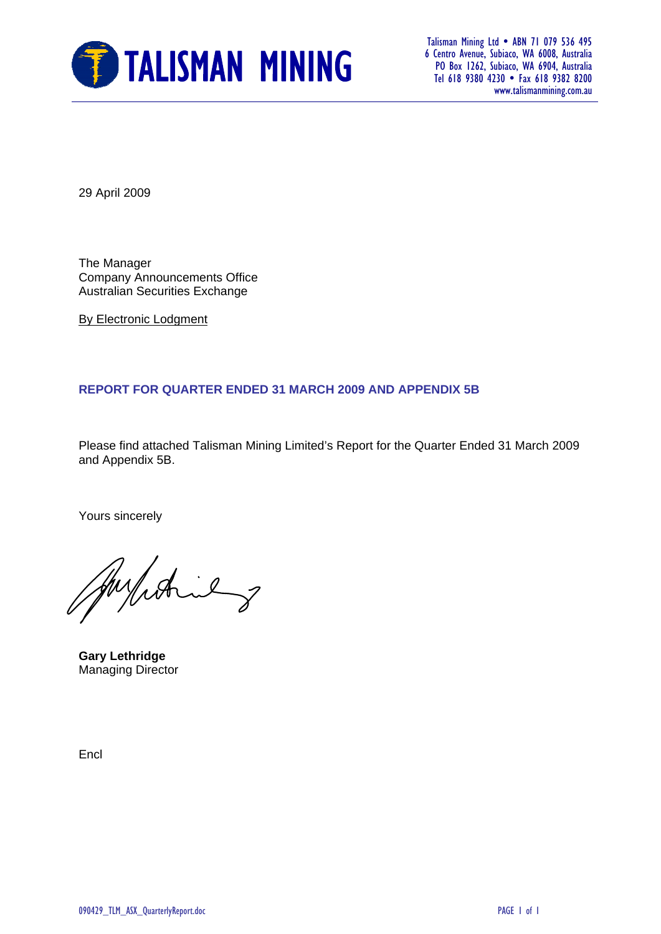

 6 Centro Avenue, Subiaco, WA 6008, Australia PO Box 1262, Subiaco, WA 6904, Australia Tel 618 9380 4230 Fax 618 9382 8200 www.talismanmining.com.au

29 April 2009

The Manager Company Announcements Office Australian Securities Exchange

By Electronic Lodgment

#### **REPORT FOR QUARTER ENDED 31 MARCH 2009 AND APPENDIX 5B**

Please find attached Talisman Mining Limited's Report for the Quarter Ended 31 March 2009 and Appendix 5B.

Yours sincerely

Julian 2

**Gary Lethridge**  Managing Director

Encl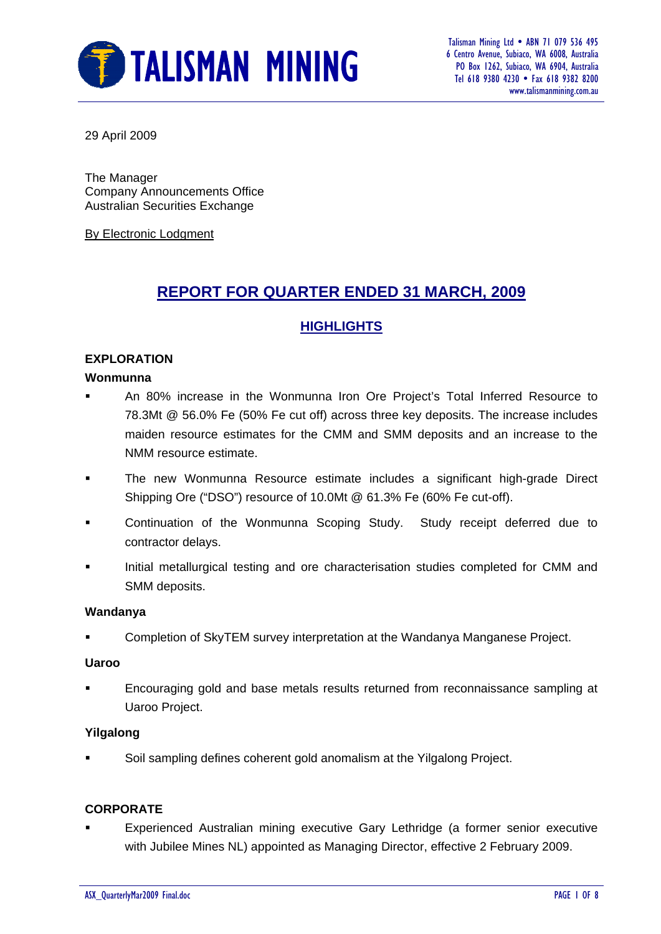

 6 Centro Avenue, Subiaco, WA 6008, Australia PO Box 1262, Subiaco, WA 6904, Australia Tel 618 9380 4230 • Fax 618 9382 8200 www.talismanmining.com.au

29 April 2009

The Manager Company Announcements Office Australian Securities Exchange

By Electronic Lodgment

# **REPORT FOR QUARTER ENDED 31 MARCH, 2009**

#### **HIGHLIGHTS**

#### **EXPLORATION**

#### **Wonmunna**

- An 80% increase in the Wonmunna Iron Ore Project's Total Inferred Resource to 78.3Mt @ 56.0% Fe (50% Fe cut off) across three key deposits. The increase includes maiden resource estimates for the CMM and SMM deposits and an increase to the NMM resource estimate.
- The new Wonmunna Resource estimate includes a significant high-grade Direct Shipping Ore ("DSO") resource of 10.0Mt @ 61.3% Fe (60% Fe cut-off).
- Continuation of the Wonmunna Scoping Study. Study receipt deferred due to contractor delays.
- Initial metallurgical testing and ore characterisation studies completed for CMM and SMM deposits.

#### **Wandanya**

Completion of SkyTEM survey interpretation at the Wandanya Manganese Project.

#### **Uaroo**

 Encouraging gold and base metals results returned from reconnaissance sampling at Uaroo Project.

#### **Yilgalong**

Soil sampling defines coherent gold anomalism at the Yilgalong Project.

#### **CORPORATE**

 Experienced Australian mining executive Gary Lethridge (a former senior executive with Jubilee Mines NL) appointed as Managing Director, effective 2 February 2009.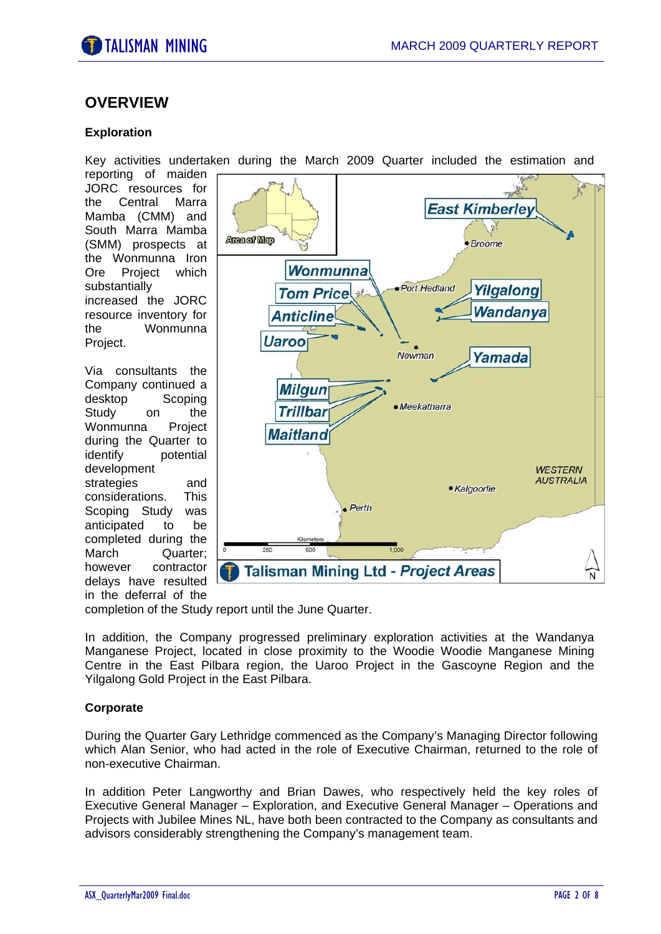

#### **OVERVIEW**

#### **Exploration**

Key activities undertaken during the March 2009 Quarter included the estimation and

reporting of maiden JORC resources for the Central Marra Mamba (CMM) and South Marra Mamba (SMM) prospects at the Wonmunna Iron Ore Project which substantially increased the JORC resource inventory for the Wonmunna Project.

Via consultants the Company continued a desktop Scoping Study on the Wonmunna Project during the Quarter to identify potential development strategies and considerations. This Scoping Study was anticipated to be completed during the March Quarter; however contractor delays have resulted in the deferral of the



completion of the Study report until the June Quarter.

In addition, the Company progressed preliminary exploration activities at the Wandanya Manganese Project, located in close proximity to the Woodie Woodie Manganese Mining Centre in the East Pilbara region, the Uaroo Project in the Gascoyne Region and the Yilgalong Gold Project in the East Pilbara.

#### **Corporate**

During the Quarter Gary Lethridge commenced as the Company's Managing Director following which Alan Senior, who had acted in the role of Executive Chairman, returned to the role of non-executive Chairman.

In addition Peter Langworthy and Brian Dawes, who respectively held the key roles of Executive General Manager – Exploration, and Executive General Manager – Operations and Projects with Jubilee Mines NL, have both been contracted to the Company as consultants and advisors considerably strengthening the Company's management team.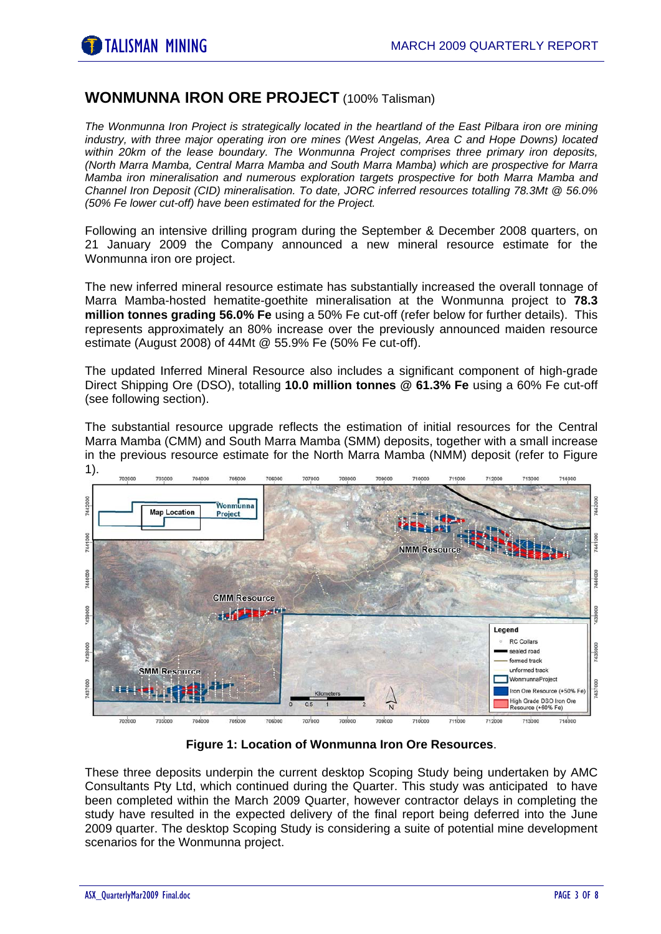# **WONMUNNA IRON ORE PROJECT** (100% Talisman)

*The Wonmunna Iron Project is strategically located in the heartland of the East Pilbara iron ore mining industry, with three major operating iron ore mines (West Angelas, Area C and Hope Downs) located within 20km of the lease boundary. The Wonmunna Project comprises three primary iron deposits, (North Marra Mamba, Central Marra Mamba and South Marra Mamba) which are prospective for Marra Mamba iron mineralisation and numerous exploration targets prospective for both Marra Mamba and Channel Iron Deposit (CID) mineralisation. To date, JORC inferred resources totalling 78.3Mt @ 56.0% (50% Fe lower cut-off) have been estimated for the Project.* 

Following an intensive drilling program during the September & December 2008 quarters, on 21 January 2009 the Company announced a new mineral resource estimate for the Wonmunna iron ore project.

The new inferred mineral resource estimate has substantially increased the overall tonnage of Marra Mamba-hosted hematite-goethite mineralisation at the Wonmunna project to **78.3 million tonnes grading 56.0% Fe** using a 50% Fe cut-off (refer below for further details). This represents approximately an 80% increase over the previously announced maiden resource estimate (August 2008) of 44Mt @ 55.9% Fe (50% Fe cut-off).

The updated Inferred Mineral Resource also includes a significant component of high-grade Direct Shipping Ore (DSO), totalling **10.0 million tonnes @ 61.3% Fe** using a 60% Fe cut-off (see following section).

The substantial resource upgrade reflects the estimation of initial resources for the Central Marra Mamba (CMM) and South Marra Mamba (SMM) deposits, together with a small increase in the previous resource estimate for the North Marra Mamba (NMM) deposit (refer to Figure 1).



**Figure 1: Location of Wonmunna Iron Ore Resources**.

These three deposits underpin the current desktop Scoping Study being undertaken by AMC Consultants Pty Ltd, which continued during the Quarter. This study was anticipated to have been completed within the March 2009 Quarter, however contractor delays in completing the study have resulted in the expected delivery of the final report being deferred into the June 2009 quarter. The desktop Scoping Study is considering a suite of potential mine development scenarios for the Wonmunna project.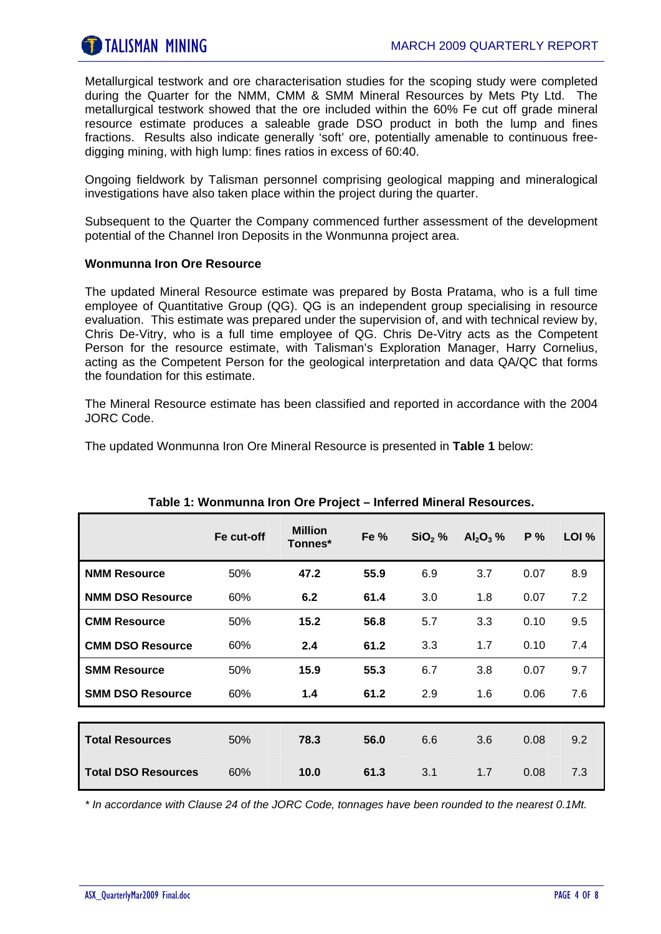Metallurgical testwork and ore characterisation studies for the scoping study were completed during the Quarter for the NMM, CMM & SMM Mineral Resources by Mets Pty Ltd. The metallurgical testwork showed that the ore included within the 60% Fe cut off grade mineral resource estimate produces a saleable grade DSO product in both the lump and fines fractions. Results also indicate generally 'soft' ore, potentially amenable to continuous freedigging mining, with high lump: fines ratios in excess of 60:40.

Ongoing fieldwork by Talisman personnel comprising geological mapping and mineralogical investigations have also taken place within the project during the quarter.

Subsequent to the Quarter the Company commenced further assessment of the development potential of the Channel Iron Deposits in the Wonmunna project area.

#### **Wonmunna Iron Ore Resource**

The updated Mineral Resource estimate was prepared by Bosta Pratama, who is a full time employee of Quantitative Group (QG). QG is an independent group specialising in resource evaluation. This estimate was prepared under the supervision of, and with technical review by, Chris De-Vitry, who is a full time employee of QG. Chris De-Vitry acts as the Competent Person for the resource estimate, with Talisman's Exploration Manager, Harry Cornelius, acting as the Competent Person for the geological interpretation and data QA/QC that forms the foundation for this estimate.

The Mineral Resource estimate has been classified and reported in accordance with the 2004 JORC Code.

The updated Wonmunna Iron Ore Mineral Resource is presented in **Table 1** below:

|                            | Fe cut-off | <b>Million</b><br>Tonnes* | Fe % | $SiO2$ % | $Al_2O_3$ % | P%   | LOI % |
|----------------------------|------------|---------------------------|------|----------|-------------|------|-------|
| <b>NMM Resource</b>        | 50%        | 47.2                      | 55.9 | 6.9      | 3.7         | 0.07 | 8.9   |
| <b>NMM DSO Resource</b>    | 60%        | 6.2                       | 61.4 | 3.0      | 1.8         | 0.07 | 7.2   |
| <b>CMM Resource</b>        | 50%        | 15.2                      | 56.8 | 5.7      | 3.3         | 0.10 | 9.5   |
| <b>CMM DSO Resource</b>    | 60%        | 2.4                       | 61.2 | 3.3      | 1.7         | 0.10 | 7.4   |
| <b>SMM Resource</b>        | 50%        | 15.9                      | 55.3 | 6.7      | 3.8         | 0.07 | 9.7   |
| <b>SMM DSO Resource</b>    | 60%        | 1.4                       | 61.2 | 2.9      | 1.6         | 0.06 | 7.6   |
|                            |            |                           |      |          |             |      |       |
| <b>Total Resources</b>     | 50%        | 78.3                      | 56.0 | 6.6      | 3.6         | 0.08 | 9.2   |
| <b>Total DSO Resources</b> | 60%        | 10.0                      | 61.3 | 3.1      | 1.7         | 0.08 | 7.3   |

#### **Table 1: Wonmunna Iron Ore Project – Inferred Mineral Resources.**

*\* In accordance with Clause 24 of the JORC Code, tonnages have been rounded to the nearest 0.1Mt.*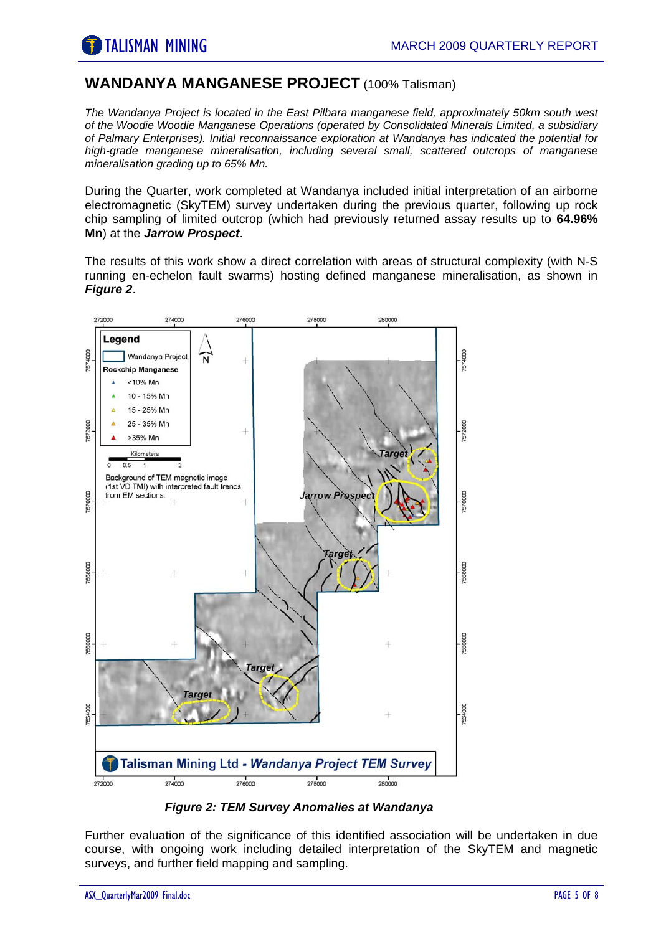### **WANDANYA MANGANESE PROJECT** (100% Talisman)

*The Wandanya Project is located in the East Pilbara manganese field, approximately 50km south west of the Woodie Woodie Manganese Operations (operated by Consolidated Minerals Limited, a subsidiary of Palmary Enterprises). Initial reconnaissance exploration at Wandanya has indicated the potential for high-grade manganese mineralisation, including several small, scattered outcrops of manganese mineralisation grading up to 65% Mn.* 

During the Quarter, work completed at Wandanya included initial interpretation of an airborne electromagnetic (SkyTEM) survey undertaken during the previous quarter, following up rock chip sampling of limited outcrop (which had previously returned assay results up to **64.96% Mn**) at the *Jarrow Prospect*.

The results of this work show a direct correlation with areas of structural complexity (with N-S running en-echelon fault swarms) hosting defined manganese mineralisation, as shown in *Figure 2*.



*Figure 2: TEM Survey Anomalies at Wandanya*

Further evaluation of the significance of this identified association will be undertaken in due course, with ongoing work including detailed interpretation of the SkyTEM and magnetic surveys, and further field mapping and sampling.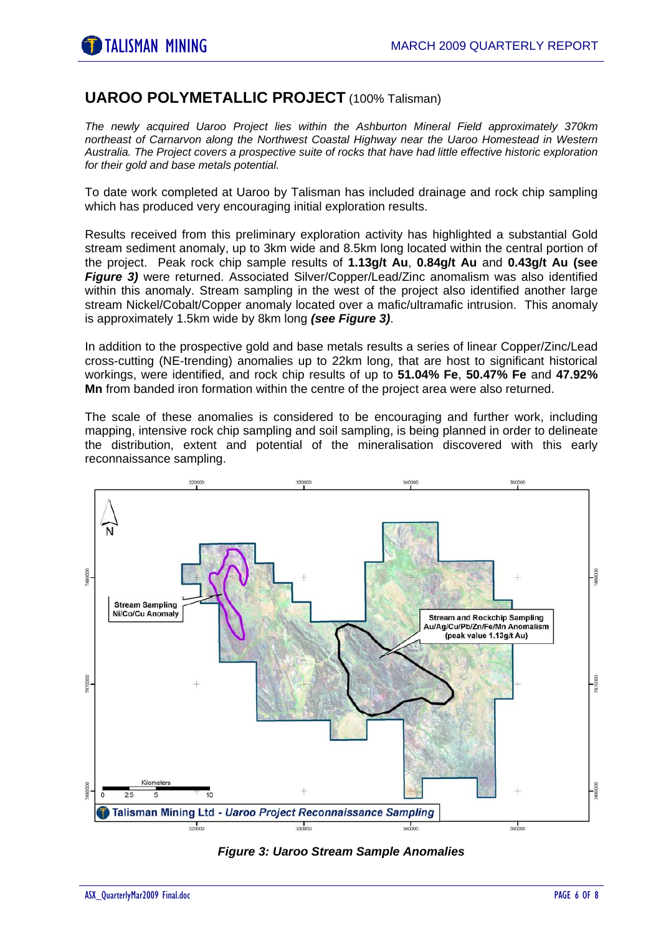# **UAROO POLYMETALLIC PROJECT** (100% Talisman)

*The newly acquired Uaroo Project lies within the Ashburton Mineral Field approximately 370km northeast of Carnarvon along the Northwest Coastal Highway near the Uaroo Homestead in Western Australia. The Project covers a prospective suite of rocks that have had little effective historic exploration for their gold and base metals potential.* 

To date work completed at Uaroo by Talisman has included drainage and rock chip sampling which has produced very encouraging initial exploration results.

Results received from this preliminary exploration activity has highlighted a substantial Gold stream sediment anomaly, up to 3km wide and 8.5km long located within the central portion of the project. Peak rock chip sample results of **1.13g/t Au**, **0.84g/t Au** and **0.43g/t Au (see** *Figure 3)* were returned. Associated Silver/Copper/Lead/Zinc anomalism was also identified within this anomaly. Stream sampling in the west of the project also identified another large stream Nickel/Cobalt/Copper anomaly located over a mafic/ultramafic intrusion. This anomaly is approximately 1.5km wide by 8km long *(see Figure 3)*.

In addition to the prospective gold and base metals results a series of linear Copper/Zinc/Lead cross-cutting (NE-trending) anomalies up to 22km long, that are host to significant historical workings, were identified, and rock chip results of up to **51.04% Fe**, **50.47% Fe** and **47.92% Mn** from banded iron formation within the centre of the project area were also returned.

The scale of these anomalies is considered to be encouraging and further work, including mapping, intensive rock chip sampling and soil sampling, is being planned in order to delineate the distribution, extent and potential of the mineralisation discovered with this early reconnaissance sampling.



*Figure 3: Uaroo Stream Sample Anomalies*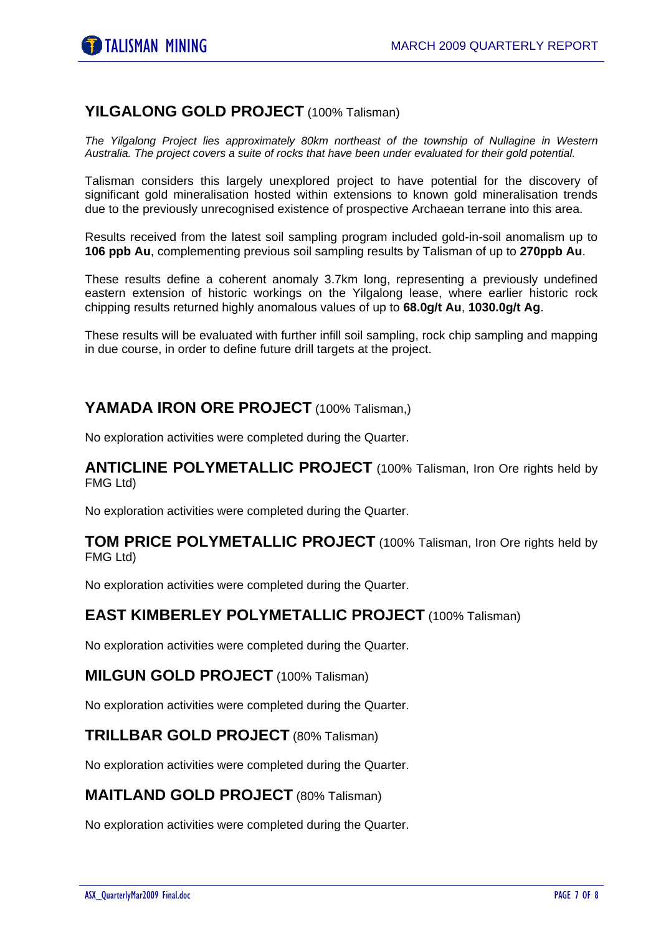# **YILGALONG GOLD PROJECT** (100% Talisman)

*The Yilgalong Project lies approximately 80km northeast of the township of Nullagine in Western Australia. The project covers a suite of rocks that have been under evaluated for their gold potential.* 

Talisman considers this largely unexplored project to have potential for the discovery of significant gold mineralisation hosted within extensions to known gold mineralisation trends due to the previously unrecognised existence of prospective Archaean terrane into this area.

Results received from the latest soil sampling program included gold-in-soil anomalism up to **106 ppb Au**, complementing previous soil sampling results by Talisman of up to **270ppb Au**.

These results define a coherent anomaly 3.7km long, representing a previously undefined eastern extension of historic workings on the Yilgalong lease, where earlier historic rock chipping results returned highly anomalous values of up to **68.0g/t Au**, **1030.0g/t Ag**.

These results will be evaluated with further infill soil sampling, rock chip sampling and mapping in due course, in order to define future drill targets at the project.

# **YAMADA IRON ORE PROJECT** (100% Talisman,)

No exploration activities were completed during the Quarter.

**ANTICLINE POLYMETALLIC PROJECT** (100% Talisman, Iron Ore rights held by FMG Ltd)

No exploration activities were completed during the Quarter.

#### **TOM PRICE POLYMETALLIC PROJECT** (100% Talisman, Iron Ore rights held by FMG Ltd)

No exploration activities were completed during the Quarter.

#### **EAST KIMBERLEY POLYMETALLIC PROJECT** (100% Talisman)

No exploration activities were completed during the Quarter.

#### **MILGUN GOLD PROJECT** (100% Talisman)

No exploration activities were completed during the Quarter.

#### **TRILLBAR GOLD PROJECT** (80% Talisman)

No exploration activities were completed during the Quarter.

#### **MAITLAND GOLD PROJECT** (80% Talisman)

No exploration activities were completed during the Quarter.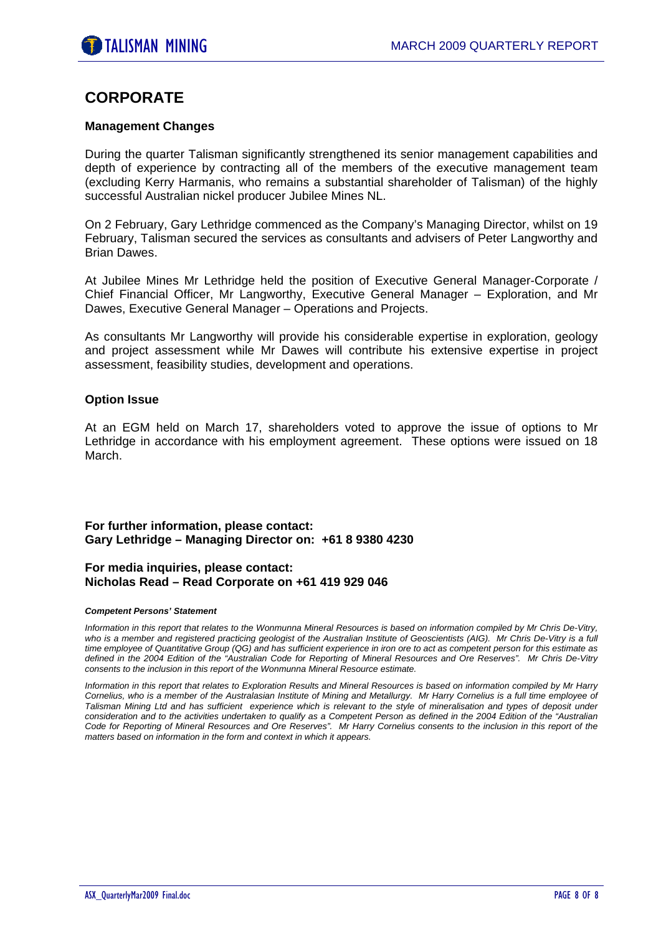# **CORPORATE**

#### **Management Changes**

During the quarter Talisman significantly strengthened its senior management capabilities and depth of experience by contracting all of the members of the executive management team (excluding Kerry Harmanis, who remains a substantial shareholder of Talisman) of the highly successful Australian nickel producer Jubilee Mines NL.

On 2 February, Gary Lethridge commenced as the Company's Managing Director, whilst on 19 February, Talisman secured the services as consultants and advisers of Peter Langworthy and Brian Dawes.

At Jubilee Mines Mr Lethridge held the position of Executive General Manager-Corporate / Chief Financial Officer, Mr Langworthy, Executive General Manager – Exploration, and Mr Dawes, Executive General Manager – Operations and Projects.

As consultants Mr Langworthy will provide his considerable expertise in exploration, geology and project assessment while Mr Dawes will contribute his extensive expertise in project assessment, feasibility studies, development and operations.

#### **Option Issue**

At an EGM held on March 17, shareholders voted to approve the issue of options to Mr Lethridge in accordance with his employment agreement. These options were issued on 18 March.

#### **For further information, please contact: Gary Lethridge – Managing Director on: +61 8 9380 4230**

#### **For media inquiries, please contact: Nicholas Read – Read Corporate on +61 419 929 046**

#### *Competent Persons' Statement*

*Information in this report that relates to the Wonmunna Mineral Resources is based on information compiled by Mr Chris De-Vitry,*  who is a member and registered practicing geologist of the Australian Institute of Geoscientists (AIG). Mr Chris De-Vitry is a full *time employee of Quantitative Group (QG) and has sufficient experience in iron ore to act as competent person for this estimate as defined in the 2004 Edition of the "Australian Code for Reporting of Mineral Resources and Ore Reserves". Mr Chris De-Vitry consents to the inclusion in this report of the Wonmunna Mineral Resource estimate.* 

*Information in this report that relates to Exploration Results and Mineral Resources is based on information compiled by Mr Harry Cornelius, who is a member of the Australasian Institute of Mining and Metallurgy. Mr Harry Cornelius is a full time employee of Talisman Mining Ltd and has sufficient experience which is relevant to the style of mineralisation and types of deposit under consideration and to the activities undertaken to qualify as a Competent Person as defined in the 2004 Edition of the "Australian Code for Reporting of Mineral Resources and Ore Reserves". Mr Harry Cornelius consents to the inclusion in this report of the matters based on information in the form and context in which it appears.*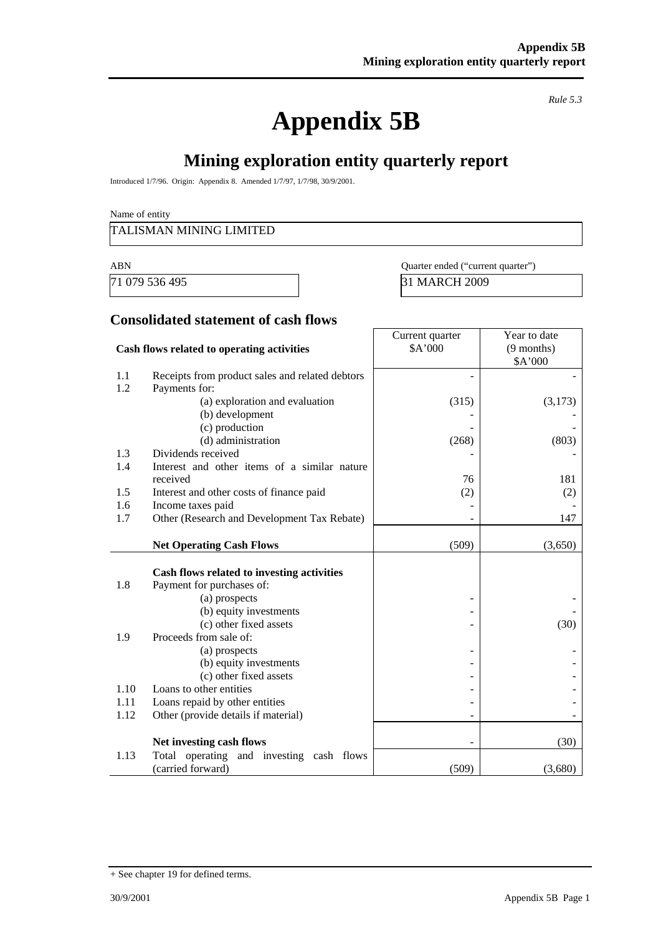# **Appendix 5B**

*Rule 5.3* 

# **Mining exploration entity quarterly report**

Introduced 1/7/96. Origin: Appendix 8. Amended 1/7/97, 1/7/98, 30/9/2001.

Name of entity

#### TALISMAN MINING LIMITED

71 079 536 495 31 MARCH 2009

| ABN            | Quarter ended ("current quarter" |
|----------------|----------------------------------|
| 71.070.526.405 | $21 \overline{M} \overline{M}$   |

# **Consolidated statement of cash flows**

|                                            |                                                 | Current quarter | Year to date |
|--------------------------------------------|-------------------------------------------------|-----------------|--------------|
| Cash flows related to operating activities |                                                 | \$A'000         | $(9$ months) |
|                                            |                                                 |                 | \$A'000      |
| 1.1                                        | Receipts from product sales and related debtors |                 |              |
| 1.2                                        | Payments for:                                   |                 |              |
|                                            | (a) exploration and evaluation                  | (315)           | (3,173)      |
|                                            | (b) development                                 |                 |              |
|                                            | (c) production                                  |                 |              |
|                                            | (d) administration                              | (268)           | (803)        |
| 1.3                                        | Dividends received                              |                 |              |
| 1.4                                        | Interest and other items of a similar nature    |                 |              |
|                                            | received                                        | 76              | 181          |
| 1.5                                        | Interest and other costs of finance paid        | (2)             | (2)          |
| 1.6                                        | Income taxes paid                               |                 |              |
| 1.7                                        | Other (Research and Development Tax Rebate)     |                 | 147          |
|                                            |                                                 |                 |              |
|                                            | <b>Net Operating Cash Flows</b>                 | (509)           | (3,650)      |
|                                            |                                                 |                 |              |
|                                            | Cash flows related to investing activities      |                 |              |
| 1.8                                        | Payment for purchases of:                       |                 |              |
|                                            | (a) prospects                                   |                 |              |
|                                            | (b) equity investments                          |                 |              |
|                                            | (c) other fixed assets                          |                 | (30)         |
| 1.9                                        | Proceeds from sale of:                          |                 |              |
|                                            | (a) prospects                                   |                 |              |
|                                            | (b) equity investments                          |                 |              |
|                                            | (c) other fixed assets                          |                 |              |
| 1.10                                       | Loans to other entities                         |                 |              |
| 1.11                                       | Loans repaid by other entities                  |                 |              |
| 1.12                                       | Other (provide details if material)             |                 |              |
|                                            |                                                 |                 |              |
|                                            | Net investing cash flows                        |                 | (30)         |
| 1.13                                       | Total operating and investing cash flows        |                 |              |
|                                            | (carried forward)                               | (509)           | (3,680)      |

<sup>+</sup> See chapter 19 for defined terms.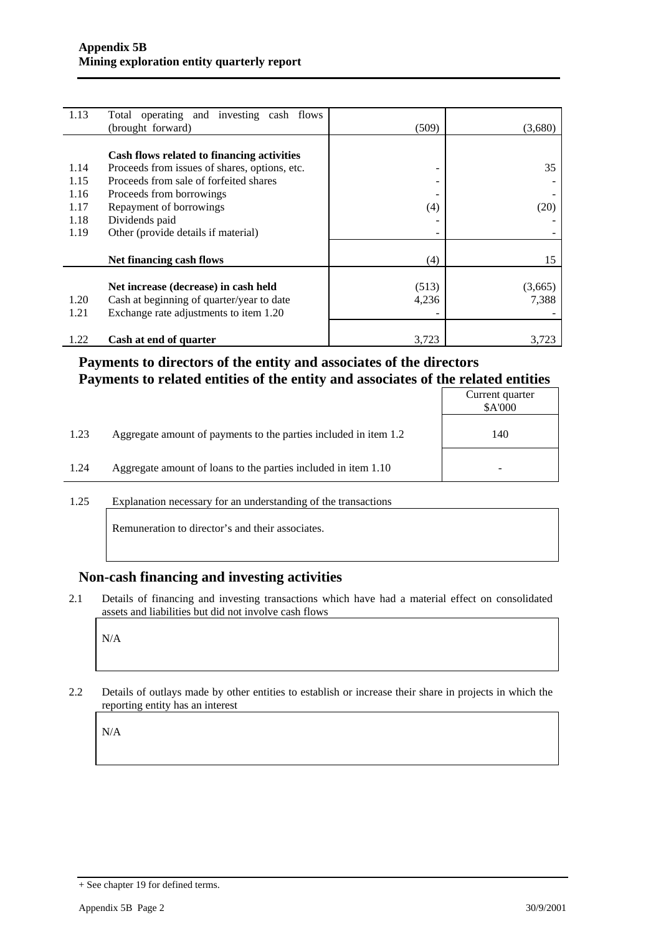| 1.13 | Total operating and investing cash flows      |       |         |
|------|-----------------------------------------------|-------|---------|
|      | (brought forward)                             | (509) | (3,680) |
|      |                                               |       |         |
|      | Cash flows related to financing activities    |       |         |
| 1.14 | Proceeds from issues of shares, options, etc. | ۰     | 35      |
| 1.15 | Proceeds from sale of forfeited shares        |       |         |
| 1.16 | Proceeds from borrowings                      |       |         |
| 1.17 | Repayment of borrowings                       | (4)   | (20)    |
| 1.18 | Dividends paid                                |       |         |
| 1.19 | Other (provide details if material)           |       |         |
|      |                                               |       |         |
|      | Net financing cash flows                      | (4)   | 15      |
|      |                                               |       |         |
|      | Net increase (decrease) in cash held          | (513) | (3,665) |
| 1.20 | Cash at beginning of quarter/year to date     | 4,236 | 7,388   |
| 1.21 | Exchange rate adjustments to item 1.20        |       |         |
|      |                                               |       |         |
| 1.22 | Cash at end of quarter                        | 3,723 | 3,723   |

#### **Payments to directors of the entity and associates of the directors Payments to related entities of the entity and associates of the related entities**

|      |                                                                  | Current quarter<br>\$A'000 |
|------|------------------------------------------------------------------|----------------------------|
| 1.23 | Aggregate amount of payments to the parties included in item 1.2 | 140                        |
| 1.24 | Aggregate amount of loans to the parties included in item 1.10   |                            |

1.25 Explanation necessary for an understanding of the transactions

Remuneration to director's and their associates.

#### **Non-cash financing and investing activities**

2.1 Details of financing and investing transactions which have had a material effect on consolidated assets and liabilities but did not involve cash flows

N/A

2.2 Details of outlays made by other entities to establish or increase their share in projects in which the reporting entity has an interest

N/A

<sup>+</sup> See chapter 19 for defined terms.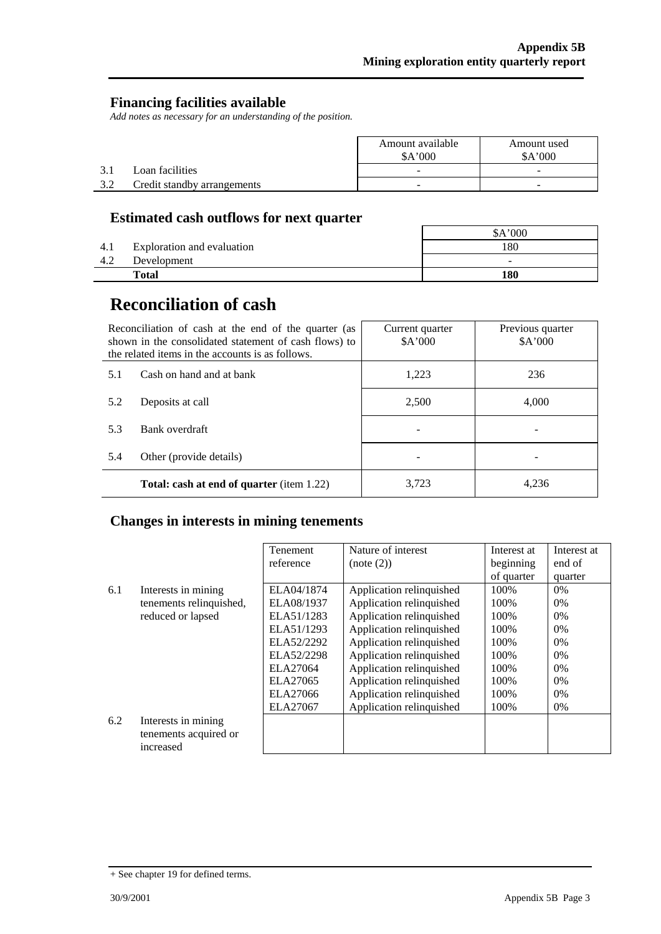#### **Financing facilities available**

*Add notes as necessary for an understanding of the position.* 

|     |                             | Amount available<br>A'000 | Amount used<br>A'000     |  |
|-----|-----------------------------|---------------------------|--------------------------|--|
|     | Loan facilities             | -                         | -                        |  |
| 3.2 | Credit standby arrangements | -                         | $\overline{\phantom{0}}$ |  |

### **Estimated cash outflows for next quarter**

|     |                            | 000'                     |
|-----|----------------------------|--------------------------|
| 4.1 | Exploration and evaluation | 180                      |
| 4.2 | Development                | $\overline{\phantom{a}}$ |
|     | <b>Total</b>               | 180                      |

# **Reconciliation of cash**

|     | Reconciliation of cash at the end of the quarter (as<br>shown in the consolidated statement of cash flows) to<br>the related items in the accounts is as follows. | Current quarter<br>A'000 | Previous quarter<br>\$A'000 |
|-----|-------------------------------------------------------------------------------------------------------------------------------------------------------------------|--------------------------|-----------------------------|
| 5.1 | Cash on hand and at bank                                                                                                                                          | 1.223                    | 236                         |
| 5.2 | Deposits at call                                                                                                                                                  | 2,500                    | 4.000                       |
| 5.3 | Bank overdraft                                                                                                                                                    |                          |                             |
| 5.4 | Other (provide details)                                                                                                                                           |                          |                             |
|     | <b>Total: cash at end of quarter (item 1.22)</b>                                                                                                                  | 3,723                    | 4.236                       |

### **Changes in interests in mining tenements**

|     |                                                           | <b>Tenement</b> | Nature of interest       | Interest at | Interest at |
|-----|-----------------------------------------------------------|-----------------|--------------------------|-------------|-------------|
|     |                                                           | reference       | (note (2))               | beginning   | end of      |
|     |                                                           |                 |                          | of quarter  | quarter     |
| 6.1 | Interests in mining                                       | ELA04/1874      | Application relinquished | 100\%       | $0\%$       |
|     | tenements relinquished,                                   | ELA08/1937      | Application relinquished | 100\%       | $0\%$       |
|     | reduced or lapsed                                         | ELA51/1283      | Application relinquished | 100\%       | $0\%$       |
|     |                                                           | ELA51/1293      | Application relinquished | 100\%       | $0\%$       |
|     |                                                           | ELA52/2292      | Application relinquished | 100\%       | $0\%$       |
|     |                                                           | ELA52/2298      | Application relinquished | 100\%       | $0\%$       |
|     |                                                           | ELA27064        | Application relinquished | 100\%       | $0\%$       |
|     |                                                           | ELA27065        | Application relinquished | 100\%       | $0\%$       |
|     |                                                           | ELA27066        | Application relinquished | 100\%       | $0\%$       |
|     |                                                           | ELA27067        | Application relinquished | 100%        | 0%          |
| 6.2 | Interests in mining<br>tenements acquired or<br>increased |                 |                          |             |             |

<sup>+</sup> See chapter 19 for defined terms.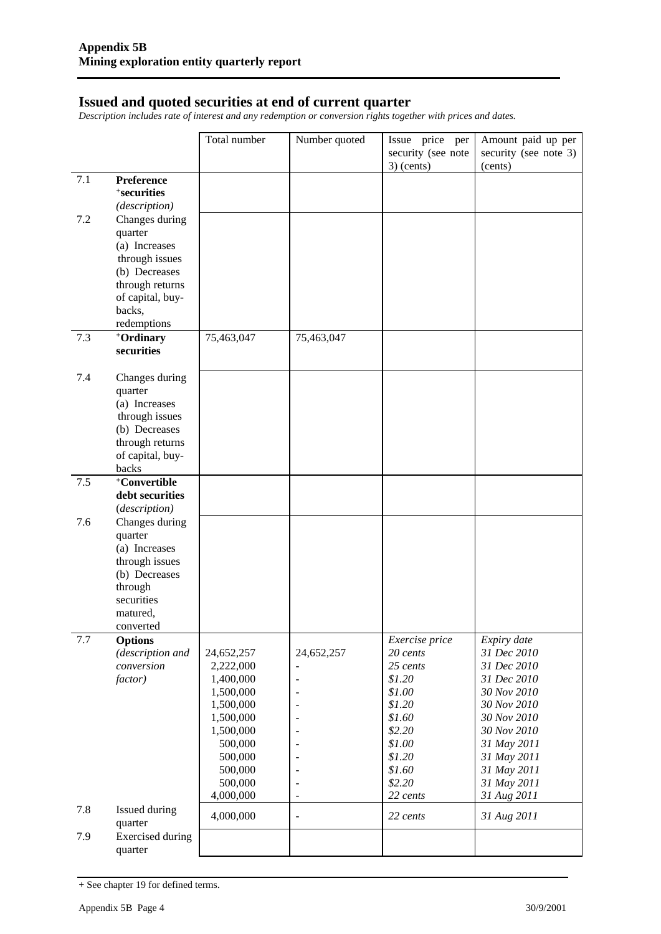#### **Issued and quoted securities at end of current quarter**

*Description includes rate of interest and any redemption or conversion rights together with prices and dates.* 

|     |                                    | Total number       | Number quoted            | Issue price per                    | Amount paid up per               |
|-----|------------------------------------|--------------------|--------------------------|------------------------------------|----------------------------------|
|     |                                    |                    |                          | security (see note<br>$3)$ (cents) | security (see note 3)<br>(cents) |
| 7.1 | <b>Preference</b>                  |                    |                          |                                    |                                  |
|     | <sup>+</sup> securities            |                    |                          |                                    |                                  |
|     | (description)                      |                    |                          |                                    |                                  |
| 7.2 | Changes during                     |                    |                          |                                    |                                  |
|     | quarter                            |                    |                          |                                    |                                  |
|     | (a) Increases<br>through issues    |                    |                          |                                    |                                  |
|     | (b) Decreases                      |                    |                          |                                    |                                  |
|     | through returns                    |                    |                          |                                    |                                  |
|     | of capital, buy-                   |                    |                          |                                    |                                  |
|     | backs,                             |                    |                          |                                    |                                  |
|     | redemptions                        |                    |                          |                                    |                                  |
| 7.3 | +Ordinary                          | 75,463,047         | 75,463,047               |                                    |                                  |
|     | securities                         |                    |                          |                                    |                                  |
| 7.4 | Changes during                     |                    |                          |                                    |                                  |
|     | quarter                            |                    |                          |                                    |                                  |
|     | (a) Increases<br>through issues    |                    |                          |                                    |                                  |
|     | (b) Decreases                      |                    |                          |                                    |                                  |
|     | through returns                    |                    |                          |                                    |                                  |
|     | of capital, buy-                   |                    |                          |                                    |                                  |
|     | backs                              |                    |                          |                                    |                                  |
| 7.5 | +Convertible                       |                    |                          |                                    |                                  |
|     | debt securities                    |                    |                          |                                    |                                  |
|     | (description)                      |                    |                          |                                    |                                  |
| 7.6 | Changes during<br>quarter          |                    |                          |                                    |                                  |
|     | (a) Increases                      |                    |                          |                                    |                                  |
|     | through issues                     |                    |                          |                                    |                                  |
|     | (b) Decreases                      |                    |                          |                                    |                                  |
|     | through                            |                    |                          |                                    |                                  |
|     | securities                         |                    |                          |                                    |                                  |
|     | matured,                           |                    |                          |                                    |                                  |
| 7.7 | converted                          |                    |                          |                                    | Expiry date                      |
|     | <b>Options</b><br>(description and | 24,652,257         | 24,652,257               | Exercise price<br>20 cents         | 31 Dec 2010                      |
|     | conversion                         | 2,222,000          |                          | 25 cents                           | 31 Dec 2010                      |
|     | factor)                            | 1,400,000          | $\overline{\phantom{a}}$ | \$1.20                             | 31 Dec 2010                      |
|     |                                    | 1,500,000          | $\blacksquare$           | \$1.00                             | 30 Nov 2010                      |
|     |                                    | 1,500,000          | $\overline{\phantom{a}}$ | \$1.20                             | 30 Nov 2010                      |
|     |                                    | 1,500,000          | $\overline{a}$           | \$1.60                             | 30 Nov 2010                      |
|     |                                    | 1,500,000          |                          | \$2.20                             | 30 Nov 2010                      |
|     |                                    | 500,000            |                          | \$1.00<br>\$1.20                   | 31 May 2011                      |
|     |                                    | 500,000<br>500,000 | $\overline{\phantom{a}}$ | \$1.60                             | 31 May 2011<br>31 May 2011       |
|     |                                    | 500,000            |                          | \$2.20                             | 31 May 2011                      |
|     |                                    | 4,000,000          | $\overline{\phantom{a}}$ | 22 cents                           | 31 Aug 2011                      |
| 7.8 | Issued during<br>quarter           | 4,000,000          | $\overline{\phantom{a}}$ | 22 cents                           | 31 Aug 2011                      |
| 7.9 | <b>Exercised</b> during            |                    |                          |                                    |                                  |
|     | quarter                            |                    |                          |                                    |                                  |

<sup>+</sup> See chapter 19 for defined terms.